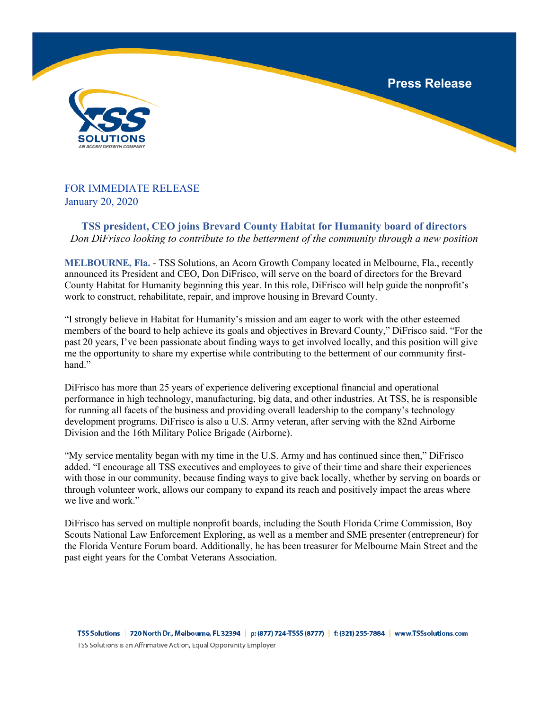**Press Release**



## FOR IMMEDIATE RELEASE January 20, 2020

**TSS president, CEO joins Brevard County Habitat for Humanity board of directors** *Don DiFrisco looking to contribute to the betterment of the community through a new position*

**MELBOURNE, Fla.** - TSS Solutions, an Acorn Growth Company located in Melbourne, Fla., recently announced its President and CEO, Don DiFrisco, will serve on the board of directors for the Brevard County Habitat for Humanity beginning this year. In this role, DiFrisco will help guide the nonprofit's work to construct, rehabilitate, repair, and improve housing in Brevard County.

"I strongly believe in Habitat for Humanity's mission and am eager to work with the other esteemed members of the board to help achieve its goals and objectives in Brevard County," DiFrisco said. "For the past 20 years, I've been passionate about finding ways to get involved locally, and this position will give me the opportunity to share my expertise while contributing to the betterment of our community firsthand."

DiFrisco has more than 25 years of experience delivering exceptional financial and operational performance in high technology, manufacturing, big data, and other industries. At TSS, he is responsible for running all facets of the business and providing overall leadership to the company's technology development programs. DiFrisco is also a U.S. Army veteran, after serving with the 82nd Airborne Division and the 16th Military Police Brigade (Airborne).

"My service mentality began with my time in the U.S. Army and has continued since then," DiFrisco added. "I encourage all TSS executives and employees to give of their time and share their experiences with those in our community, because finding ways to give back locally, whether by serving on boards or through volunteer work, allows our company to expand its reach and positively impact the areas where we live and work."

DiFrisco has served on multiple nonprofit boards, including the South Florida Crime Commission, Boy Scouts National Law Enforcement Exploring, as well as a member and SME presenter (entrepreneur) for the Florida Venture Forum board. Additionally, he has been treasurer for Melbourne Main Street and the past eight years for the Combat Veterans Association.